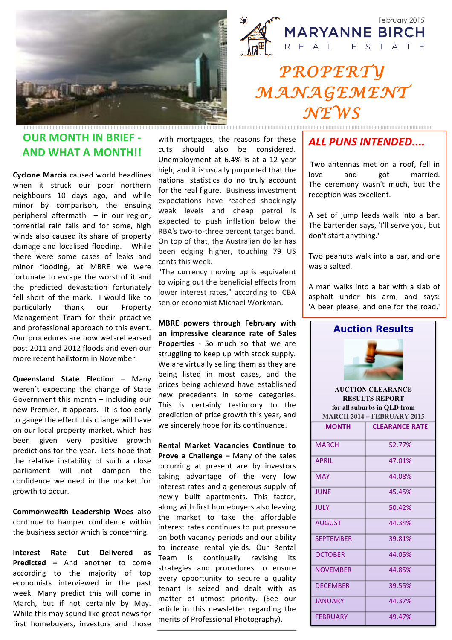



## *PROPERTY MANAGEMENT NEWS*

#### **OUR MONTH IN BRIEF -AND&WHAT&A&MONTH!!**

**Cyclone Marcia** caused world headlines when it struck our poor northern neighbours 10 days ago, and while minor by comparison, the ensuing peripheral aftermath  $-$  in our region, torrential rain falls and for some, high winds also caused its share of property damage and localised flooding. While there were some cases of leaks and minor flooding, at MBRE we were fortunate to escape the worst of it and the predicted devastation fortunately fell short of the mark. I would like to particularly thank our Property Management Team for their proactive and professional approach to this event. Our procedures are now well-rehearsed post 2011 and 2012 floods and even our more recent hailstorm in November.

**Queensland State Election – Many** weren't expecting the change of State Government this month  $-$  including our new Premier, it appears. It is too early to gauge the effect this change will have on our local property market, which has been given very positive growth predictions for the year. Lets hope that the relative instability of such a close parliament will not dampen the confidence we need in the market for growth to occur.

**Commonwealth Leadership Woes** also continue to hamper confidence within the business sector which is concerning.

**Interest Rate Cut Delivered as Predicted –** And another to come according to the majority of top economists interviewed in the past week. Many predict this will come in March, but if not certainly by May. While this may sound like great news for first homebuyers, investors and those with mortgages, the reasons for these cuts should also be considered. Unemployment at 6.4% is at a 12 year high, and it is usually purported that the national statistics do no truly account for the real figure. Business investment expectations have reached shockingly weak levels and cheap petrol is expected to push inflation below the RBA's two-to-three percent target band. On top of that, the Australian dollar has been edging higher, touching 79 US cents this week.

"The currency moving up is equivalent to wiping out the beneficial effects from lower interest rates," according to CBA senior economist Michael Workman.

**MBRE** powers through February with an impressive clearance rate of Sales **Properties** - So much so that we are struggling to keep up with stock supply. We are virtually selling them as they are being listed in most cases, and the prices being achieved have established new precedents in some categories. This is certainly testimony to the prediction of price growth this year, and we sincerely hope for its continuance.

**Rental Market Vacancies Continue to Prove a Challenge –** Many of the sales occurring at present are by investors taking advantage of the very low interest rates and a generous supply of newly built apartments. This factor, along with first homebuyers also leaving the market to take the affordable interest rates continues to put pressure on both vacancy periods and our ability to increase rental yields. Our Rental Team is continually revising its strategies and procedures to ensure every opportunity to secure a quality tenant is seized and dealt with as matter of utmost priority. (See our article in this newsletter regarding the merits of Professional Photography).

#### *ALL#PUNS#INTENDED....*

Two antennas met on a roof, fell in love and got married. The ceremony wasn't much, but the reception was excellent.

A set of jump leads walk into a bar. The bartender says, 'I'll serve you, but don't start anything.'

Two peanuts walk into a bar, and one was a salted.

A man walks into a bar with a slab of asphalt under his arm, and says: 'A beer please, and one for the road.'



**for all suburbs in QLD from MARCH 2014 – FEBRUARY 2015 MONTH CLEARANCE RATE** MARCH 52.77% APRIL 47.01% MAY 244.08% JUNE 45.45%  $JULY$   $50.42%$ AUGUST 44.34% SEPTEMBER 39.81% OCTOBER 44.05% NOVEMBER 44.85% DECEMBER 39.55%

JANUARY 44.37%

FEBRUARY 49.47%